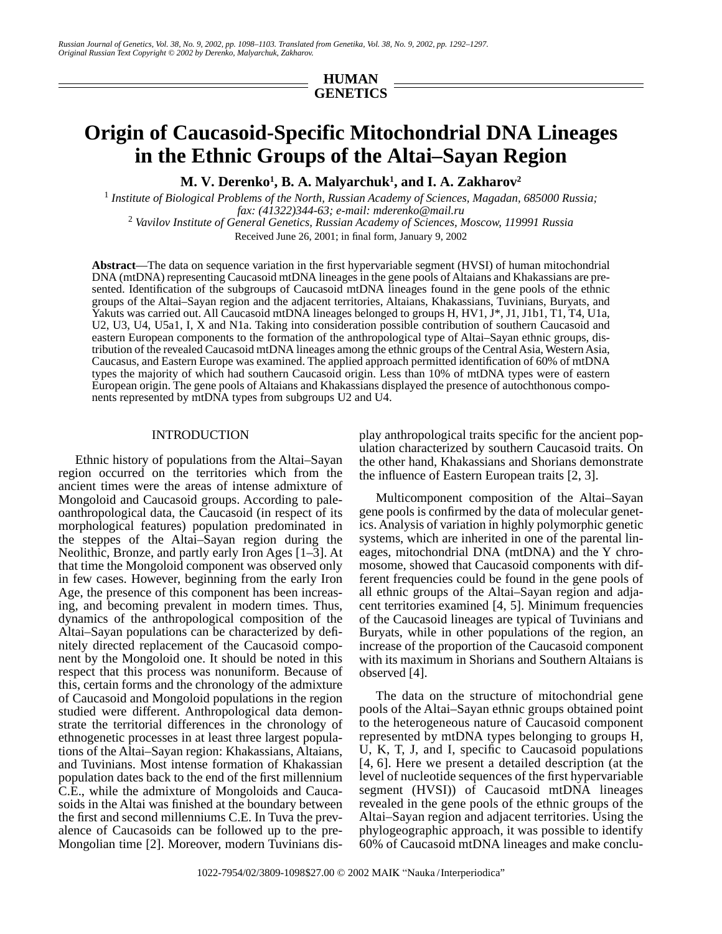# **HUMAN GENETICS**

# **Origin of Caucasoid-Specific Mitochondrial DNA Lineages in the Ethnic Groups of the Altai–Sayan Region**

**M. V. Derenko1 , B. A. Malyarchuk1 , and I. A. Zakharov2**

1  *Institute of Biological Problems of the North, Russian Academy of Sciences, Magadan, 685000 Russia; fax: (41322)344-63; e-mail: mderenko@mail.ru* <sup>2</sup>  *Vavilov Institute of General Genetics, Russian Academy of Sciences, Moscow, 119991 Russia* Received June 26, 2001; in final form, January 9, 2002

**Abstract**—The data on sequence variation in the first hypervariable segment (HVSI) of human mitochondrial DNA (mtDNA) representing Caucasoid mtDNA lineages in the gene pools of Altaians and Khakassians are presented. Identification of the subgroups of Caucasoid mtDNA lineages found in the gene pools of the ethnic groups of the Altai–Sayan region and the adjacent territories, Altaians, Khakassians, Tuvinians, Buryats, and Yakuts was carried out. All Caucasoid mtDNA lineages belonged to groups H, HV1, J\*, J1, J1b1, T1, T4, U1a, U2, U3, U4, U5a1, I, X and N1a. Taking into consideration possible contribution of southern Caucasoid and eastern European components to the formation of the anthropological type of Altai–Sayan ethnic groups, distribution of the revealed Caucasoid mtDNA lineages among the ethnic groups of the Central Asia, Western Asia, Caucasus, and Eastern Europe was examined. The applied approach permitted identification of 60% of mtDNA types the majority of which had southern Caucasoid origin. Less than 10% of mtDNA types were of eastern European origin. The gene pools of Altaians and Khakassians displayed the presence of autochthonous components represented by mtDNA types from subgroups U2 and U4.

#### INTRODUCTION

Ethnic history of populations from the Altai–Sayan region occurred on the territories which from the ancient times were the areas of intense admixture of Mongoloid and Caucasoid groups. According to paleoanthropological data, the Caucasoid (in respect of its morphological features) population predominated in the steppes of the Altai–Sayan region during the Neolithic, Bronze, and partly early Iron Ages [1–3]. At that time the Mongoloid component was observed only in few cases. However, beginning from the early Iron Age, the presence of this component has been increasing, and becoming prevalent in modern times. Thus, dynamics of the anthropological composition of the Altai–Sayan populations can be characterized by definitely directed replacement of the Caucasoid component by the Mongoloid one. It should be noted in this respect that this process was nonuniform. Because of this, certain forms and the chronology of the admixture of Caucasoid and Mongoloid populations in the region studied were different. Anthropological data demonstrate the territorial differences in the chronology of ethnogenetic processes in at least three largest populations of the Altai–Sayan region: Khakassians, Altaians, and Tuvinians. Most intense formation of Khakassian population dates back to the end of the first millennium C.E., while the admixture of Mongoloids and Caucasoids in the Altai was finished at the boundary between the first and second millenniums C.E. In Tuva the prevalence of Caucasoids can be followed up to the pre-Mongolian time [2]. Moreover, modern Tuvinians display anthropological traits specific for the ancient population characterized by southern Caucasoid traits. On the other hand, Khakassians and Shorians demonstrate the influence of Eastern European traits [2, 3].

Multicomponent composition of the Altai–Sayan gene pools is confirmed by the data of molecular genetics. Analysis of variation in highly polymorphic genetic systems, which are inherited in one of the parental lineages, mitochondrial DNA (mtDNA) and the Y chromosome, showed that Caucasoid components with different frequencies could be found in the gene pools of all ethnic groups of the Altai–Sayan region and adjacent territories examined [4, 5]. Minimum frequencies of the Caucasoid lineages are typical of Tuvinians and Buryats, while in other populations of the region, an increase of the proportion of the Caucasoid component with its maximum in Shorians and Southern Altaians is observed [4].

The data on the structure of mitochondrial gene pools of the Altai–Sayan ethnic groups obtained point to the heterogeneous nature of Caucasoid component represented by mtDNA types belonging to groups H, U, K, T, J, and I, specific to Caucasoid populations [4, 6]. Here we present a detailed description (at the level of nucleotide sequences of the first hypervariable segment (HVSI)) of Caucasoid mtDNA lineages revealed in the gene pools of the ethnic groups of the Altai–Sayan region and adjacent territories. Using the phylogeographic approach, it was possible to identify 60% of Caucasoid mtDNA lineages and make conclu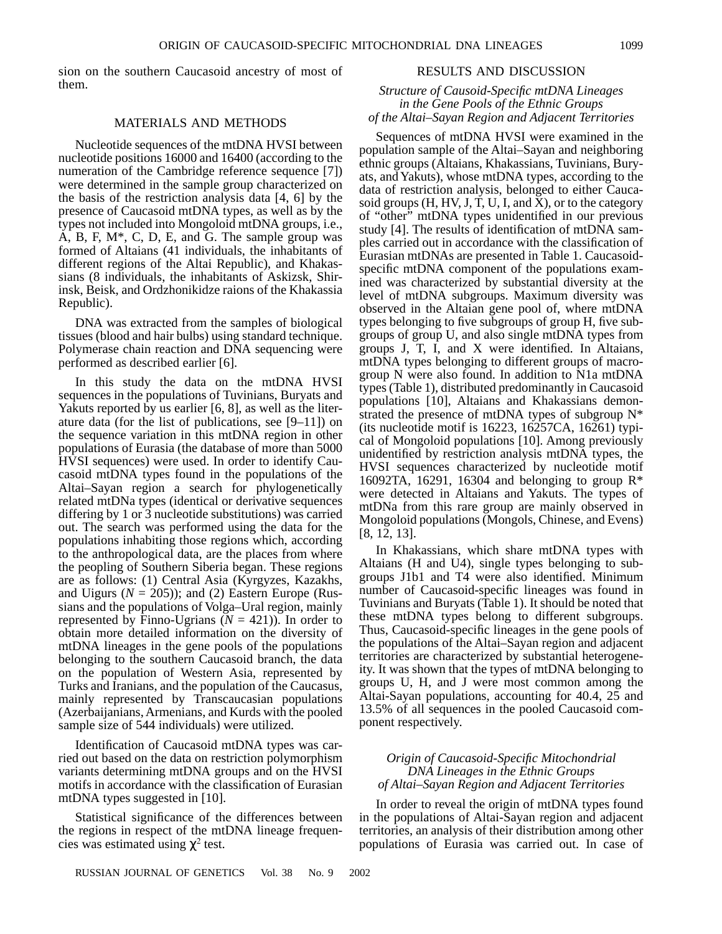sion on the southern Caucasoid ancestry of most of them.

## MATERIALS AND METHODS

Nucleotide sequences of the mtDNA HVSI between nucleotide positions 16000 and 16400 (according to the numeration of the Cambridge reference sequence [7]) were determined in the sample group characterized on the basis of the restriction analysis data [4, 6] by the presence of Caucasoid mtDNA types, as well as by the types not included into Mongoloid mtDNA groups, i.e., A, B, F, M\*, C, D, E, and G. The sample group was formed of Altaians (41 individuals, the inhabitants of different regions of the Altai Republic), and Khakassians (8 individuals, the inhabitants of Askizsk, Shirinsk, Beisk, and Ordzhonikidze raions of the Khakassia Republic).

DNA was extracted from the samples of biological tissues (blood and hair bulbs) using standard technique. Polymerase chain reaction and DNA sequencing were performed as described earlier [6].

In this study the data on the mtDNA HVSI sequences in the populations of Tuvinians, Buryats and Yakuts reported by us earlier [6, 8], as well as the literature data (for the list of publications, see [9–11]) on the sequence variation in this mtDNA region in other populations of Eurasia (the database of more than 5000 HVSI sequences) were used. In order to identify Caucasoid mtDNA types found in the populations of the Altai–Sayan region a search for phylogenetically related mtDNa types (identical or derivative sequences differing by 1 or 3 nucleotide substitutions) was carried out. The search was performed using the data for the populations inhabiting those regions which, according to the anthropological data, are the places from where the peopling of Southern Siberia began. These regions are as follows: (1) Central Asia (Kyrgyzes, Kazakhs, and Uigurs  $(N = 205)$ ; and (2) Eastern Europe (Russians and the populations of Volga–Ural region, mainly represented by Finno-Ugrians  $(N = 421)$ ). In order to obtain more detailed information on the diversity of mtDNA lineages in the gene pools of the populations belonging to the southern Caucasoid branch, the data on the population of Western Asia, represented by Turks and Iranians, and the population of the Caucasus, mainly represented by Transcaucasian populations (Azerbaijanians, Armenians, and Kurds with the pooled sample size of 544 individuals) were utilized.

Identification of Caucasoid mtDNA types was carried out based on the data on restriction polymorphism variants determining mtDNA groups and on the HVSI motifs in accordance with the classification of Eurasian mtDNA types suggested in [10].

Statistical significance of the differences between the regions in respect of the mtDNA lineage frequencies was estimated using  $\chi^2$  test.

### RESULTS AND DISCUSSION

## *Structure of Causoid-Specific mtDNA Lineages in the Gene Pools of the Ethnic Groups of the Altai–Sayan Region and Adjacent Territories*

Sequences of mtDNA HVSI were examined in the population sample of the Altai–Sayan and neighboring ethnic groups (Altaians, Khakassians, Tuvinians, Buryats, and Yakuts), whose mtDNA types, according to the data of restriction analysis, belonged to either Caucasoid groups (H, HV, J, T, U, I, and X), or to the category of "other" mtDNA types unidentified in our previous study [4]. The results of identification of mtDNA samples carried out in accordance with the classification of Eurasian mtDNAs are presented in Table 1. Caucasoidspecific mtDNA component of the populations examined was characterized by substantial diversity at the level of mtDNA subgroups. Maximum diversity was observed in the Altaian gene pool of, where mtDNA types belonging to five subgroups of group H, five subgroups of group U, and also single mtDNA types from groups J, T, I, and X were identified. In Altaians, mtDNA types belonging to different groups of macrogroup N were also found. In addition to N1a mtDNA types (Table 1), distributed predominantly in Caucasoid populations [10], Altaians and Khakassians demonstrated the presence of mtDNA types of subgroup N\* (its nucleotide motif is 16223, 16257CA, 16261) typical of Mongoloid populations [10]. Among previously unidentified by restriction analysis mtDNA types, the HVSI sequences characterized by nucleotide motif 16092TA, 16291, 16304 and belonging to group R\* were detected in Altaians and Yakuts. The types of mtDNa from this rare group are mainly observed in Mongoloid populations (Mongols, Chinese, and Evens) [8, 12, 13].

In Khakassians, which share mtDNA types with Altaians (H and U4), single types belonging to subgroups J1b1 and T4 were also identified. Minimum number of Caucasoid-specific lineages was found in Tuvinians and Buryats (Table 1). It should be noted that these mtDNA types belong to different subgroups. Thus, Caucasoid-specific lineages in the gene pools of the populations of the Altai–Sayan region and adjacent territories are characterized by substantial heterogeneity. It was shown that the types of mtDNA belonging to groups U, H, and J were most common among the Altai-Sayan populations, accounting for 40.4, 25 and 13.5% of all sequences in the pooled Caucasoid component respectively.

## *Origin of Caucasoid-Specific Mitochondrial DNA Lineages in the Ethnic Groups of Altai–Sayan Region and Adjacent Territories*

In order to reveal the origin of mtDNA types found in the populations of Altai-Sayan region and adjacent territories, an analysis of their distribution among other populations of Eurasia was carried out. In case of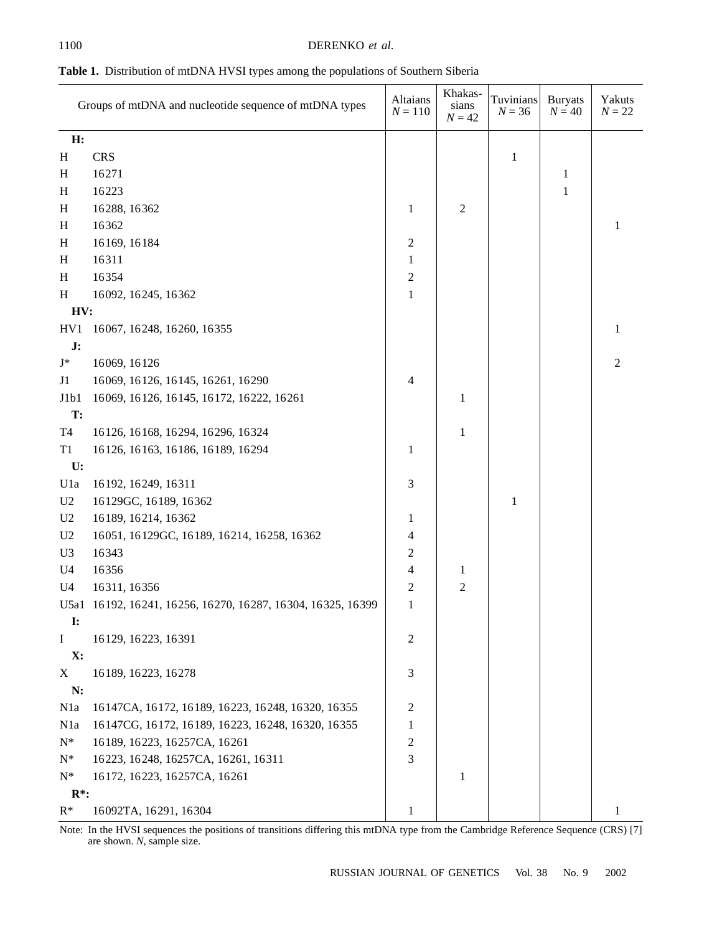## 1100

## DERENKO *et al*.

| Groups of mtDNA and nucleotide sequence of mtDNA types |                                                             | Altaians<br>$N = 110$   | Khakas-<br>sians<br>$N = 42$ | Tuvinians<br>$N = 36$ | <b>Buryats</b><br>$N = 40$ | Yakuts<br>$N = 22$ |
|--------------------------------------------------------|-------------------------------------------------------------|-------------------------|------------------------------|-----------------------|----------------------------|--------------------|
| H:                                                     |                                                             |                         |                              |                       |                            |                    |
| $\, {\rm H}$                                           | <b>CRS</b>                                                  |                         |                              | 1                     |                            |                    |
| H                                                      | 16271                                                       |                         |                              |                       | $\mathbf{1}$               |                    |
| H                                                      | 16223                                                       |                         |                              |                       | $\mathbf{1}$               |                    |
| H                                                      | 16288, 16362                                                | $\mathbf{1}$            | $\sqrt{2}$                   |                       |                            |                    |
| H                                                      | 16362                                                       |                         |                              |                       |                            | 1                  |
| H                                                      | 16169, 16184                                                | 2                       |                              |                       |                            |                    |
| H                                                      | 16311                                                       | $\mathbf{1}$            |                              |                       |                            |                    |
| H                                                      | 16354                                                       | $\overline{\mathbf{c}}$ |                              |                       |                            |                    |
| H                                                      | 16092, 16245, 16362                                         | $\mathbf{1}$            |                              |                       |                            |                    |
| HV:                                                    |                                                             |                         |                              |                       |                            |                    |
| HV1                                                    | 16067, 16248, 16260, 16355                                  |                         |                              |                       |                            | 1                  |
| J:                                                     |                                                             |                         |                              |                       |                            |                    |
| $\mathbf{J}^*$                                         | 16069, 16126                                                |                         |                              |                       |                            | $\boldsymbol{2}$   |
| J1                                                     | 16069, 16126, 16145, 16261, 16290                           | 4                       |                              |                       |                            |                    |
| J1b1                                                   | 16069, 16126, 16145, 16172, 16222, 16261                    |                         | $\mathbf{1}$                 |                       |                            |                    |
| T:                                                     |                                                             |                         |                              |                       |                            |                    |
| T <sub>4</sub>                                         | 16126, 16168, 16294, 16296, 16324                           |                         | $\mathbf{1}$                 |                       |                            |                    |
| T1                                                     | 16126, 16163, 16186, 16189, 16294                           | $\mathbf{1}$            |                              |                       |                            |                    |
| U:                                                     |                                                             |                         |                              |                       |                            |                    |
| U <sub>1</sub> a                                       | 16192, 16249, 16311                                         | 3                       |                              |                       |                            |                    |
| U <sub>2</sub>                                         | 16129GC, 16189, 16362                                       |                         |                              | 1                     |                            |                    |
| U <sub>2</sub>                                         | 16189, 16214, 16362                                         | 1                       |                              |                       |                            |                    |
| U <sub>2</sub>                                         | 16051, 16129GC, 16189, 16214, 16258, 16362                  | 4                       |                              |                       |                            |                    |
| U <sub>3</sub>                                         | 16343                                                       | 2                       |                              |                       |                            |                    |
| U4                                                     | 16356                                                       | 4                       | $\mathbf{1}$                 |                       |                            |                    |
| U <sub>4</sub>                                         | 16311, 16356                                                | $\overline{c}$          | $\overline{c}$               |                       |                            |                    |
|                                                        | U5a1 16192, 16241, 16256, 16270, 16287, 16304, 16325, 16399 | $\mathbf{1}$            |                              |                       |                            |                    |
| I:                                                     |                                                             |                         |                              |                       |                            |                    |
| $\bf I$                                                | 16129, 16223, 16391                                         | $\overline{c}$          |                              |                       |                            |                    |
| X:                                                     |                                                             |                         |                              |                       |                            |                    |
| X                                                      | 16189, 16223, 16278                                         | 3                       |                              |                       |                            |                    |
| N:                                                     |                                                             |                         |                              |                       |                            |                    |
| N1a                                                    | 16147CA, 16172, 16189, 16223, 16248, 16320, 16355           | 2                       |                              |                       |                            |                    |
| N1a                                                    | 16147CG, 16172, 16189, 16223, 16248, 16320, 16355           | 1                       |                              |                       |                            |                    |
| $N^*$                                                  | 16189, 16223, 16257CA, 16261                                | 2                       |                              |                       |                            |                    |
| $N^*$                                                  | 16223, 16248, 16257CA, 16261, 16311                         | 3                       |                              |                       |                            |                    |
| $N^*$                                                  | 16172, 16223, 16257CA, 16261                                |                         | 1                            |                       |                            |                    |
| $R^*$ :                                                |                                                             |                         |                              |                       |                            |                    |
| $R^*$                                                  | 16092TA, 16291, 16304                                       | $\mathbf{1}$            |                              |                       |                            | $\mathbf{1}$       |

**Table 1.** Distribution of mtDNA HVSI types among the populations of Southern Siberia

Note: In the HVSI sequences the positions of transitions differing this mtDNA type from the Cambridge Reference Sequence (CRS) [7] are shown. *N*, sample size.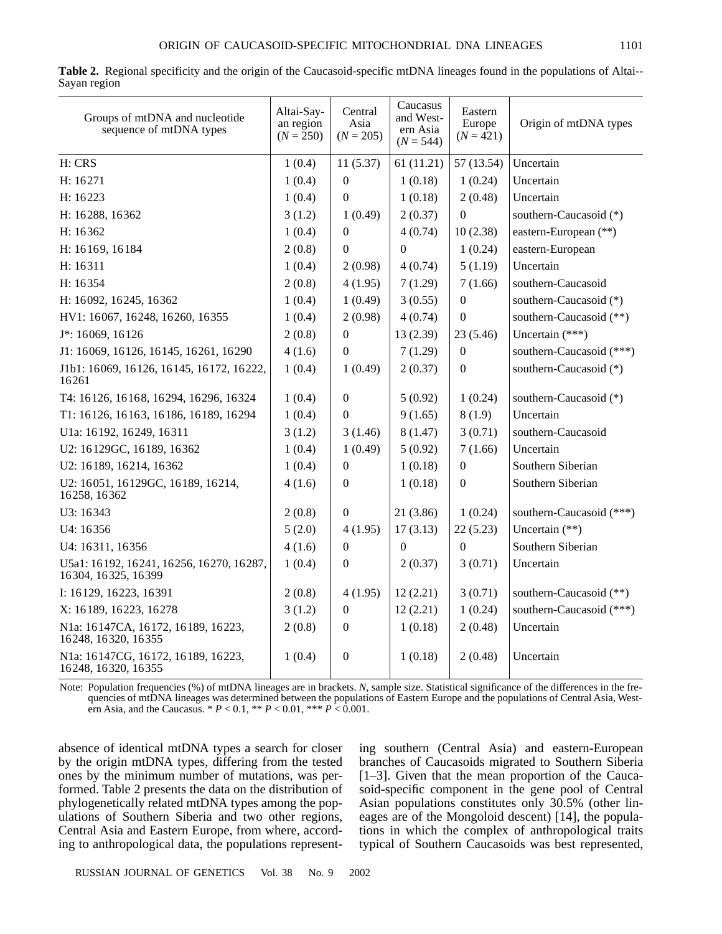| Groups of mtDNA and nucleotide<br>sequence of mtDNA types       | Altai-Say-<br>an region<br>$(N = 250)$ | Central<br>Asia<br>$(N = 205)$ | Caucasus<br>and West-<br>ern Asia<br>$(N = 544)$ | Eastern<br>Europe<br>$(N = 421)$ | Origin of mtDNA types    |  |
|-----------------------------------------------------------------|----------------------------------------|--------------------------------|--------------------------------------------------|----------------------------------|--------------------------|--|
| H: CRS                                                          | 1(0.4)                                 | 11(5.37)                       | 61(11.21)                                        | 57 (13.54)                       | Uncertain                |  |
| H: 16271                                                        | 1(0.4)                                 | $\mathbf{0}$                   | 1(0.18)                                          | 1(0.24)                          | Uncertain                |  |
| H: 16223                                                        | 1(0.4)                                 | $\Omega$                       | 1(0.18)                                          | 2(0.48)                          | Uncertain                |  |
| H: 16288, 16362                                                 | 3(1.2)                                 | 1(0.49)                        | 2(0.37)                                          | $\Omega$                         | southern-Caucasoid (*)   |  |
| H: 16362                                                        | 1(0.4)                                 | $\theta$                       | 4(0.74)                                          | 10(2.38)                         | eastern-European (**)    |  |
| H: 16169, 16184                                                 | 2(0.8)                                 | $\overline{0}$                 | $\overline{0}$                                   | 1(0.24)                          | eastern-European         |  |
| H: 16311                                                        | 1(0.4)                                 | 2(0.98)                        | 4(0.74)                                          | 5(1.19)                          | Uncertain                |  |
| H: 16354                                                        | 2(0.8)                                 | 4(1.95)                        | 7(1.29)                                          | 7(1.66)                          | southern-Caucasoid       |  |
| H: 16092, 16245, 16362                                          | 1(0.4)                                 | 1(0.49)                        | 3(0.55)                                          | $\mathbf{0}$                     | southern-Caucasoid (*)   |  |
| HV1: 16067, 16248, 16260, 16355                                 | 1(0.4)                                 | 2(0.98)                        | 4(0.74)                                          | $\overline{0}$                   | southern-Caucasoid (**)  |  |
| J*: 16069, 16126                                                | 2(0.8)                                 | $\overline{0}$                 | 13 (2.39)                                        | 23(5.46)                         | Uncertain (***)          |  |
| J1: 16069, 16126, 16145, 16261, 16290                           | 4(1.6)                                 | 0                              | 7(1.29)                                          | $\boldsymbol{0}$                 | southern-Caucasoid (***) |  |
| J1b1: 16069, 16126, 16145, 16172, 16222,<br>16261               | 1(0.4)                                 | 1(0.49)                        | 2(0.37)                                          | $\mathbf{0}$                     | southern-Caucasoid (*)   |  |
| T4: 16126, 16168, 16294, 16296, 16324                           | 1(0.4)                                 | $\mathbf{0}$                   | 5(0.92)                                          | 1(0.24)                          | southern-Caucasoid (*)   |  |
| T1: 16126, 16163, 16186, 16189, 16294                           | 1(0.4)                                 | $\theta$                       | 9(1.65)                                          | 8(1.9)                           | Uncertain                |  |
| U1a: 16192, 16249, 16311                                        | 3(1.2)                                 | 3(1.46)                        | 8(1.47)                                          | 3(0.71)                          | southern-Caucasoid       |  |
| U2: 16129GC, 16189, 16362                                       | 1(0.4)                                 | 1(0.49)                        | 5(0.92)                                          | 7(1.66)                          | Uncertain                |  |
| U2: 16189, 16214, 16362                                         | 1(0.4)                                 | $\theta$                       | 1(0.18)                                          | $\theta$                         | Southern Siberian        |  |
| U2: 16051, 16129GC, 16189, 16214,<br>16258, 16362               | 4(1.6)                                 | $\overline{0}$                 | 1(0.18)                                          | $\theta$                         | Southern Siberian        |  |
| U3: 16343                                                       | 2(0.8)                                 | $\overline{0}$                 | 21 (3.86)                                        | 1(0.24)                          | southern-Caucasoid (***) |  |
| U4: 16356                                                       | 5(2.0)                                 | 4(1.95)                        | 17(3.13)                                         | 22(5.23)                         | Uncertain (**)           |  |
| U4: 16311, 16356                                                | 4(1.6)                                 | $\overline{0}$                 | $\overline{0}$                                   | $\theta$                         | Southern Siberian        |  |
| U5a1: 16192, 16241, 16256, 16270, 16287,<br>16304, 16325, 16399 | 1(0.4)                                 | $\theta$                       | 2(0.37)                                          | 3(0.71)                          | Uncertain                |  |
| I: 16129, 16223, 16391                                          | 2(0.8)                                 | 4(1.95)                        | 12(2.21)                                         | 3(0.71)                          | southern-Caucasoid (**)  |  |
| X: 16189, 16223, 16278                                          | 3(1.2)                                 | $\theta$                       | 12(2.21)                                         | 1(0.24)                          | southern-Caucasoid (***) |  |
| N1a: 16147CA, 16172, 16189, 16223,<br>16248, 16320, 16355       | 2(0.8)                                 | $\theta$                       | 1(0.18)                                          | 2(0.48)                          | Uncertain                |  |
| N1a: 16147CG, 16172, 16189, 16223,<br>16248, 16320, 16355       | 1(0.4)                                 | $\theta$                       | 1(0.18)                                          | 2(0.48)                          | Uncertain                |  |

**Table 2.** Regional specificity and the origin of the Caucasoid-specific mtDNA lineages found in the populations of Altai-- Sayan region

Note: Population frequencies (%) of mtDNA lineages are in brackets. *N*, sample size. Statistical significance of the differences in the frequencies of mtDNA lineages was determined between the populations of Eastern Europe and the populations of Central Asia, Western Asia, and the Caucasus. \* *P* < 0.1, \*\* *P* < 0.01, \*\*\* *P* < 0.001.

absence of identical mtDNA types a search for closer by the origin mtDNA types, differing from the tested ones by the minimum number of mutations, was performed. Table 2 presents the data on the distribution of phylogenetically related mtDNA types among the populations of Southern Siberia and two other regions, Central Asia and Eastern Europe, from where, according to anthropological data, the populations representing southern (Central Asia) and eastern-European branches of Caucasoids migrated to Southern Siberia [1–3]. Given that the mean proportion of the Caucasoid-specific component in the gene pool of Central Asian populations constitutes only 30.5% (other lineages are of the Mongoloid descent) [14], the populations in which the complex of anthropological traits typical of Southern Caucasoids was best represented,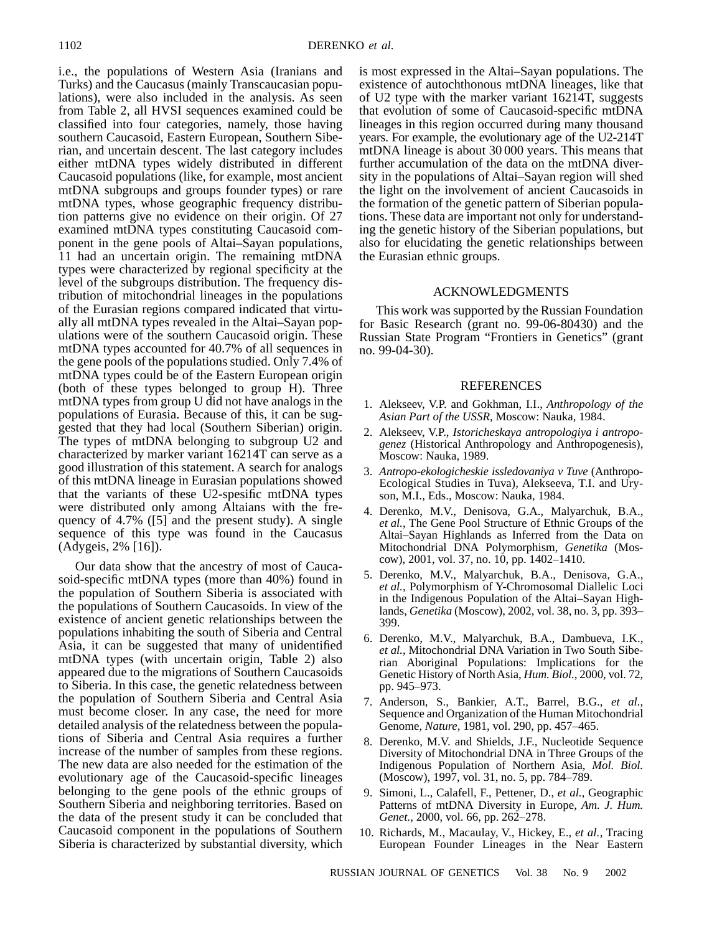i.e., the populations of Western Asia (Iranians and Turks) and the Caucasus (mainly Transcaucasian populations), were also included in the analysis. As seen from Table 2, all HVSI sequences examined could be classified into four categories, namely, those having southern Caucasoid, Eastern European, Southern Siberian, and uncertain descent. The last category includes either mtDNA types widely distributed in different Caucasoid populations (like, for example, most ancient mtDNA subgroups and groups founder types) or rare mtDNA types, whose geographic frequency distribution patterns give no evidence on their origin. Of 27 examined mtDNA types constituting Caucasoid component in the gene pools of Altai–Sayan populations, 11 had an uncertain origin. The remaining mtDNA types were characterized by regional specificity at the level of the subgroups distribution. The frequency distribution of mitochondrial lineages in the populations of the Eurasian regions compared indicated that virtually all mtDNA types revealed in the Altai–Sayan populations were of the southern Caucasoid origin. These mtDNA types accounted for 40.7% of all sequences in the gene pools of the populations studied. Only 7.4% of mtDNA types could be of the Eastern European origin (both of these types belonged to group H). Three mtDNA types from group U did not have analogs in the populations of Eurasia. Because of this, it can be suggested that they had local (Southern Siberian) origin. The types of mtDNA belonging to subgroup U2 and characterized by marker variant 16214T can serve as a good illustration of this statement. A search for analogs of this mtDNA lineage in Eurasian populations showed that the variants of these U2-spesific mtDNA types were distributed only among Altaians with the frequency of 4.7% ([5] and the present study). A single sequence of this type was found in the Caucasus (Adygeis, 2% [16]).

Our data show that the ancestry of most of Caucasoid-specific mtDNA types (more than 40%) found in the population of Southern Siberia is associated with the populations of Southern Caucasoids. In view of the existence of ancient genetic relationships between the populations inhabiting the south of Siberia and Central Asia, it can be suggested that many of unidentified mtDNA types (with uncertain origin, Table 2) also appeared due to the migrations of Southern Caucasoids to Siberia. In this case, the genetic relatedness between the population of Southern Siberia and Central Asia must become closer. In any case, the need for more detailed analysis of the relatedness between the populations of Siberia and Central Asia requires a further increase of the number of samples from these regions. The new data are also needed for the estimation of the evolutionary age of the Caucasoid-specific lineages belonging to the gene pools of the ethnic groups of Southern Siberia and neighboring territories. Based on the data of the present study it can be concluded that Caucasoid component in the populations of Southern Siberia is characterized by substantial diversity, which is most expressed in the Altai–Sayan populations. The existence of autochthonous mtDNA lineages, like that of U2 type with the marker variant 16214T, suggests that evolution of some of Caucasoid-specific mtDNA lineages in this region occurred during many thousand years. For example, the evolutionary age of the U2-214T mtDNA lineage is about 30 000 years. This means that further accumulation of the data on the mtDNA diversity in the populations of Altai–Sayan region will shed the light on the involvement of ancient Caucasoids in the formation of the genetic pattern of Siberian populations. These data are important not only for understanding the genetic history of the Siberian populations, but also for elucidating the genetic relationships between the Eurasian ethnic groups.

#### ACKNOWLEDGMENTS

This work was supported by the Russian Foundation for Basic Research (grant no. 99-06-80430) and the Russian State Program "Frontiers in Genetics" (grant no. 99-04-30).

#### REFERENCES

- 1. Alekseev, V.P. and Gokhman, I.I., *Anthropology of the Asian Part of the USSR*, Moscow: Nauka, 1984.
- 2. Alekseev, V.P., *Istoricheskaya antropologiya i antropogenez* (Historical Anthropology and Anthropogenesis), Moscow: Nauka, 1989.
- 3. *Antropo-ekologicheskie issledovaniya v Tuve* (Anthropo-Ecological Studies in Tuva), Alekseeva, T.I. and Uryson, M.I., Eds., Moscow: Nauka, 1984.
- 4. Derenko, M.V., Denisova, G.A., Malyarchuk, B.A., *et al.*, The Gene Pool Structure of Ethnic Groups of the Altai–Sayan Highlands as Inferred from the Data on Mitochondrial DNA Polymorphism, *Genetika* (Moscow), 2001, vol. 37, no. 10, pp. 1402–1410.
- 5. Derenko, M.V., Malyarchuk, B.A., Denisova, G.A., *et al.*, Polymorphism of Y-Chromosomal Diallelic Loci in the Indigenous Population of the Altai–Sayan Highlands, *Genetika* (Moscow), 2002, vol. 38, no. 3, pp. 393– 399.
- 6. Derenko, M.V., Malyarchuk, B.A., Dambueva, I.K., *et al.*, Mitochondrial DNA Variation in Two South Siberian Aboriginal Populations: Implications for the Genetic History of North Asia, *Hum. Biol.*, 2000, vol. 72, pp. 945–973.
- 7. Anderson, S., Bankier, A.T., Barrel, B.G., *et al.*, Sequence and Organization of the Human Mitochondrial Genome, *Nature,* 1981, vol. 290, pp. 457–465.
- 8. Derenko, M.V. and Shields, J.F., Nucleotide Sequence Diversity of Mitochondrial DNA in Three Groups of the Indigenous Population of Northern Asia, *Mol. Biol.* (Moscow), 1997, vol. 31, no. 5, pp. 784–789.
- 9. Simoni, L., Calafell, F., Pettener, D., *et al.*, Geographic Patterns of mtDNA Diversity in Europe, *Am. J. Hum. Genet.*, 2000, vol. 66, pp. 262–278.
- 10. Richards, M., Macaulay, V., Hickey, E., *et al.*, Tracing European Founder Lineages in the Near Eastern